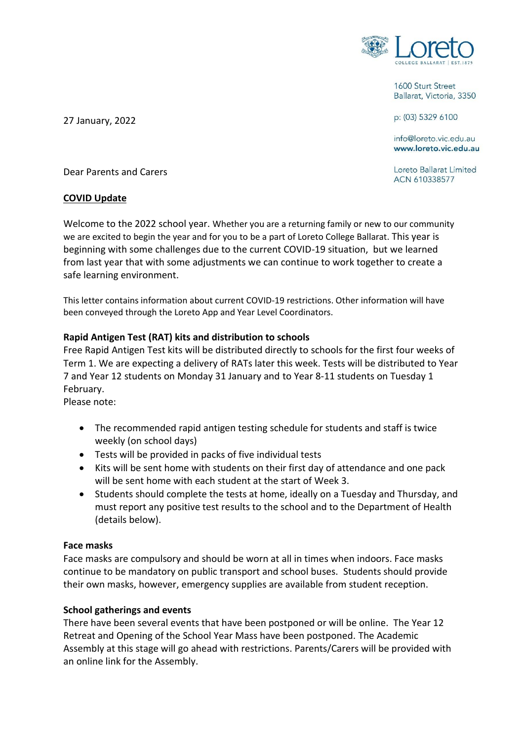

1600 Sturt Street Ballarat, Victoria, 3350

p: (03) 5329 6100

info@loreto.vic.edu.au www.loreto.vic.edu.au

Loreto Ballarat Limited ACN 610338577

27 January, 2022

Dear Parents and Carers

### **COVID Update**

Welcome to the 2022 school year. Whether you are a returning family or new to our community we are excited to begin the year and for you to be a part of Loreto College Ballarat. This year is beginning with some challenges due to the current COVID-19 situation, but we learned from last year that with some adjustments we can continue to work together to create a safe learning environment.

This letter contains information about current COVID-19 restrictions. Other information will have been conveyed through the Loreto App and Year Level Coordinators.

### **Rapid Antigen Test (RAT) kits and distribution to schools**

Free Rapid Antigen Test kits will be distributed directly to schools for the first four weeks of Term 1. We are expecting a delivery of RATs later this week. Tests will be distributed to Year 7 and Year 12 students on Monday 31 January and to Year 8-11 students on Tuesday 1 February.

Please note:

- The recommended rapid antigen testing schedule for students and staff is twice weekly (on school days)
- Tests will be provided in packs of five individual tests
- Kits will be sent home with students on their first day of attendance and one pack will be sent home with each student at the start of Week 3.
- Students should complete the tests at home, ideally on a Tuesday and Thursday, and must report any positive test results to the school and to the Department of Health (details below).

#### **Face masks**

Face masks are compulsory and should be worn at all in times when indoors. Face masks continue to be mandatory on public transport and school buses. Students should provide their own masks, however, emergency supplies are available from student reception.

### **School gatherings and events**

There have been several events that have been postponed or will be online. The Year 12 Retreat and Opening of the School Year Mass have been postponed. The Academic Assembly at this stage will go ahead with restrictions. Parents/Carers will be provided with an online link for the Assembly.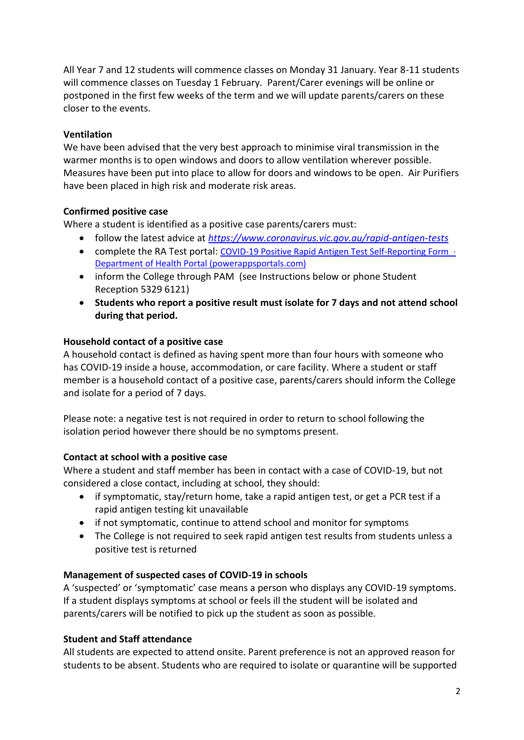All Year 7 and 12 students will commence classes on Monday 31 January. Year 8-11 students will commence classes on Tuesday 1 February. Parent/Carer evenings will be online or postponed in the first few weeks of the term and we will update parents/carers on these closer to the events.

## **Ventilation**

We have been advised that the very best approach to minimise viral transmission in the warmer months is to open windows and doors to allow ventilation wherever possible. Measures have been put into place to allow for doors and windows to be open. Air Purifiers have been placed in high risk and moderate risk areas.

## **Confirmed positive case**

Where a student is identified as a positive case parents/carers must:

- follow the latest advice at *<https://www.coronavirus.vic.gov.au/rapid-antigen-tests>*
- complete the RA Test portal: [COVID-19 Positive Rapid Antigen Test Self-Reporting Form ·](https://dhvicgovau.powerappsportals.com/rapid-antigen-test/)  [Department of Health Portal \(powerappsportals.com\)](https://dhvicgovau.powerappsportals.com/rapid-antigen-test/)
- inform the College through PAM (see Instructions below or phone Student Reception 5329 6121)
- **Students who report a positive result must isolate for 7 days and not attend school during that period.**

## **Household contact of a positive case**

A household contact is defined as having spent more than four hours with someone who has COVID-19 inside a house, accommodation, or care facility. Where a student or staff member is a household contact of a positive case, parents/carers should inform the College and isolate for a period of 7 days.

Please note: a negative test is not required in order to return to school following the isolation period however there should be no symptoms present.

# **Contact at school with a positive case**

Where a student and staff member has been in contact with a case of COVID-19, but not considered a close contact, including at school, they should:

- if symptomatic, stay/return home, take a rapid antigen test, or get a PCR test if a rapid antigen testing kit unavailable
- if not symptomatic, continue to attend school and monitor for symptoms
- The College is not required to seek rapid antigen test results from students unless a positive test is returned

## **Management of suspected cases of COVID-19 in schools**

A 'suspected' or 'symptomatic' case means a person who displays any COVID-19 symptoms. If a student displays symptoms at school or feels ill the student will be isolated and parents/carers will be notified to pick up the student as soon as possible.

## **Student and Staff attendance**

All students are expected to attend onsite. Parent preference is not an approved reason for students to be absent. Students who are required to isolate or quarantine will be supported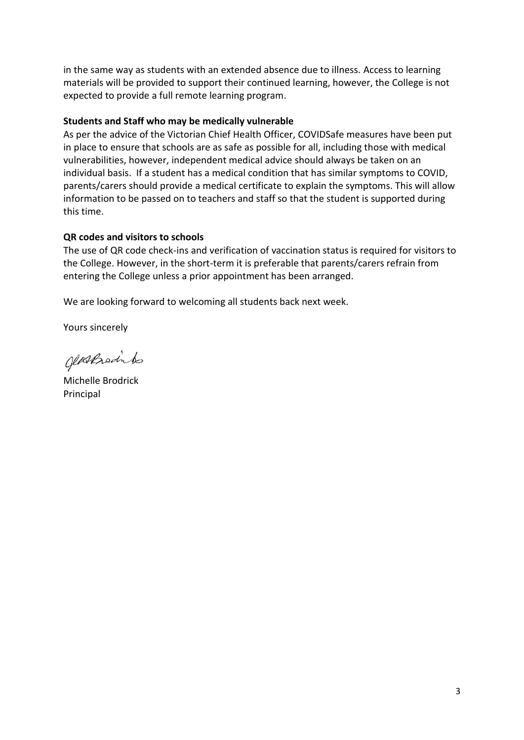in the same way as students with an extended absence due to illness. Access to learning materials will be provided to support their continued learning, however, the College is not expected to provide a full remote learning program.

### **Students and Staff who may be medically vulnerable**

As per the advice of the Victorian Chief Health Officer, COVIDSafe measures have been put in place to ensure that schools are as safe as possible for all, including those with medical vulnerabilities, however, independent medical advice should always be taken on an individual basis. If a student has a medical condition that has similar symptoms to COVID, parents/carers should provide a medical certificate to explain the symptoms. This will allow information to be passed on to teachers and staff so that the student is supported during this time.

## **QR codes and visitors to schools**

The use of QR code check-ins and verification of vaccination status is required for visitors to the College. However, in the short-term it is preferable that parents/carers refrain from entering the College unless a prior appointment has been arranged.

We are looking forward to welcoming all students back next week.

Yours sincerely

glassproduto

Michelle Brodrick Principal